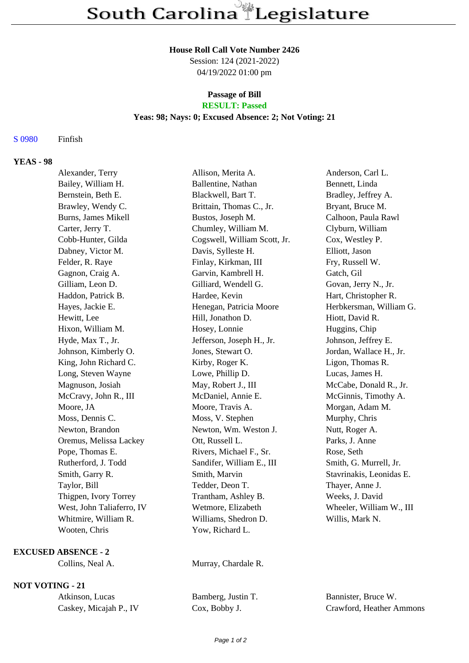#### **House Roll Call Vote Number 2426**

Session: 124 (2021-2022) 04/19/2022 01:00 pm

# **Passage of Bill**

## **RESULT: Passed**

#### **Yeas: 98; Nays: 0; Excused Absence: 2; Not Voting: 21**

#### S 0980 Finfish

#### **YEAS - 98**

| Alexander, Terry          | Allison, Merita A.           | Anderson, Carl L.        |
|---------------------------|------------------------------|--------------------------|
| Bailey, William H.        | Ballentine, Nathan           | Bennett, Linda           |
| Bernstein, Beth E.        | Blackwell, Bart T.           | Bradley, Jeffrey A.      |
| Brawley, Wendy C.         | Brittain, Thomas C., Jr.     | Bryant, Bruce M.         |
| Burns, James Mikell       | Bustos, Joseph M.            | Calhoon, Paula Rawl      |
| Carter, Jerry T.          | Chumley, William M.          | Clyburn, William         |
| Cobb-Hunter, Gilda        | Cogswell, William Scott, Jr. | Cox, Westley P.          |
| Dabney, Victor M.         | Davis, Sylleste H.           | Elliott, Jason           |
| Felder, R. Raye           | Finlay, Kirkman, III         | Fry, Russell W.          |
| Gagnon, Craig A.          | Garvin, Kambrell H.          | Gatch, Gil               |
| Gilliam, Leon D.          | Gilliard, Wendell G.         | Govan, Jerry N., Jr.     |
| Haddon, Patrick B.        | Hardee, Kevin                | Hart, Christopher R.     |
| Hayes, Jackie E.          | Henegan, Patricia Moore      | Herbkersman, William G.  |
| Hewitt, Lee               | Hill, Jonathon D.            | Hiott, David R.          |
| Hixon, William M.         | Hosey, Lonnie                | Huggins, Chip            |
| Hyde, Max T., Jr.         | Jefferson, Joseph H., Jr.    | Johnson, Jeffrey E.      |
| Johnson, Kimberly O.      | Jones, Stewart O.            | Jordan, Wallace H., Jr.  |
| King, John Richard C.     | Kirby, Roger K.              | Ligon, Thomas R.         |
| Long, Steven Wayne        | Lowe, Phillip D.             | Lucas, James H.          |
| Magnuson, Josiah          | May, Robert J., III          | McCabe, Donald R., Jr.   |
| McCravy, John R., III     | McDaniel, Annie E.           | McGinnis, Timothy A.     |
| Moore, JA                 | Moore, Travis A.             | Morgan, Adam M.          |
| Moss, Dennis C.           | Moss, V. Stephen             | Murphy, Chris            |
| Newton, Brandon           | Newton, Wm. Weston J.        | Nutt, Roger A.           |
| Oremus, Melissa Lackey    | Ott, Russell L.              | Parks, J. Anne           |
| Pope, Thomas E.           | Rivers, Michael F., Sr.      | Rose, Seth               |
| Rutherford, J. Todd       | Sandifer, William E., III    | Smith, G. Murrell, Jr.   |
| Smith, Garry R.           | Smith, Marvin                | Stavrinakis, Leonidas E. |
| Taylor, Bill              | Tedder, Deon T.              | Thayer, Anne J.          |
| Thigpen, Ivory Torrey     | Trantham, Ashley B.          | Weeks, J. David          |
| West, John Taliaferro, IV | Wetmore, Elizabeth           | Wheeler, William W., III |
| Whitmire, William R.      | Williams, Shedron D.         | Willis, Mark N.          |
| Wooten, Chris             | Yow, Richard L.              |                          |

#### **EXCUSED ABSENCE - 2**

### **NOT VOTING - 21**

| Atkinson, Lucas |                        |  |  |  |
|-----------------|------------------------|--|--|--|
|                 | Caskey, Micajah P., IV |  |  |  |

Collins, Neal A. Murray, Chardale R.

Bamberg, Justin T. Bannister, Bruce W. Cox, Bobby J. Crawford, Heather Ammons